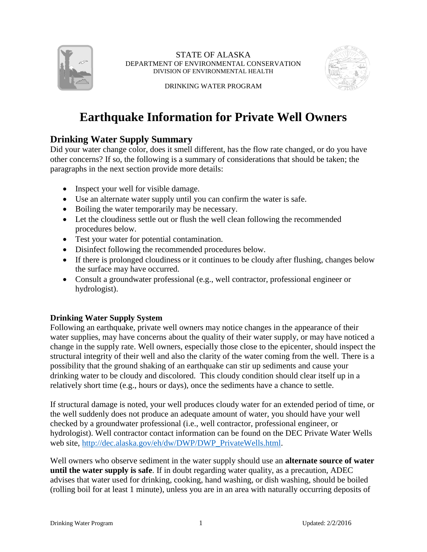

STATE OF ALASKA DEPARTMENT OF ENVIRONMENTAL CONSERVATION DIVISION OF ENVIRONMENTAL HEALTH



DRINKING WATER PROGRAM

## **Earthquake Information for Private Well Owners**

## **Drinking Water Supply Summary**

Did your water change color, does it smell different, has the flow rate changed, or do you have other concerns? If so, the following is a summary of considerations that should be taken; the paragraphs in the next section provide more details:

- Inspect your well for visible damage.
- Use an alternate water supply until you can confirm the water is safe.
- Boiling the water temporarily may be necessary.
- Let the cloudiness settle out or flush the well clean following the recommended procedures below.
- Test your water for potential contamination.
- Disinfect following the recommended procedures below.
- If there is prolonged cloudiness or it continues to be cloudy after flushing, changes below the surface may have occurred.
- Consult a groundwater professional (e.g., well contractor, professional engineer or hydrologist).

## **Drinking Water Supply System**

Following an earthquake, private well owners may notice changes in the appearance of their water supplies, may have concerns about the quality of their water supply, or may have noticed a change in the supply rate. Well owners, especially those close to the epicenter, should inspect the structural integrity of their well and also the clarity of the water coming from the well. There is a possibility that the ground shaking of an earthquake can stir up sediments and cause your drinking water to be cloudy and discolored. This cloudy condition should clear itself up in a relatively short time (e.g., hours or days), once the sediments have a chance to settle.

If structural damage is noted, your well produces cloudy water for an extended period of time, or the well suddenly does not produce an adequate amount of water, you should have your well checked by a groundwater professional (i.e., well contractor, professional engineer, or hydrologist). Well contractor contact information can be found on the DEC Private Water Wells web site, [http://dec.alaska.gov/eh/dw/DWP/DWP\\_PrivateWells.html.](http://dec.alaska.gov/eh/dw/DWP/DWP_PrivateWells.html)

Well owners who observe sediment in the water supply should use an **alternate source of water until the water supply is safe**. If in doubt regarding water quality, as a precaution, ADEC advises that water used for drinking, cooking, hand washing, or dish washing, should be boiled (rolling boil for at least 1 minute), unless you are in an area with naturally occurring deposits of